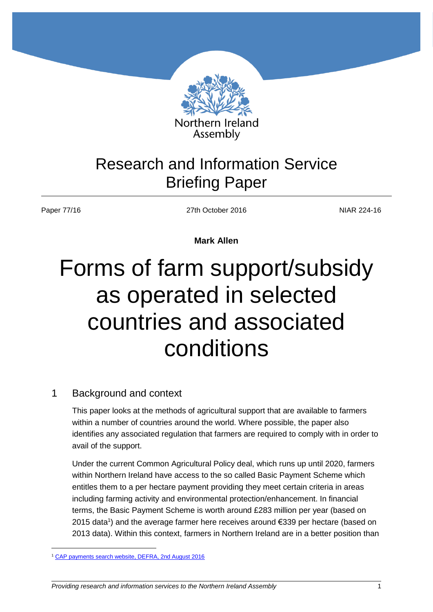

# Research and Information Service Briefing Paper

 $\overline{a}$ 

Paper 77/16 224-16

**Mark Allen**

# Forms of farm support/subsidy as operated in selected countries and associated conditions

# 1 Background and context

This paper looks at the methods of agricultural support that are available to farmers within a number of countries around the world. Where possible, the paper also identifies any associated regulation that farmers are required to comply with in order to avail of the support.

Under the current Common Agricultural Policy deal, which runs up until 2020, farmers within Northern Ireland have access to the so called Basic Payment Scheme which entitles them to a per hectare payment providing they meet certain criteria in areas including farming activity and environmental protection/enhancement. In financial terms, the Basic Payment Scheme is worth around £283 million per year (based on 2015 data<sup>1</sup>) and the average farmer here receives around €339 per hectare (based on 2013 data). Within this context, farmers in Northern Ireland are in a better position than

<sup>&</sup>lt;sup>1</sup> [CAP payments search website, DEFRA, 2nd August 2016](http://cap-payments.defra.gov.uk/download.aspx)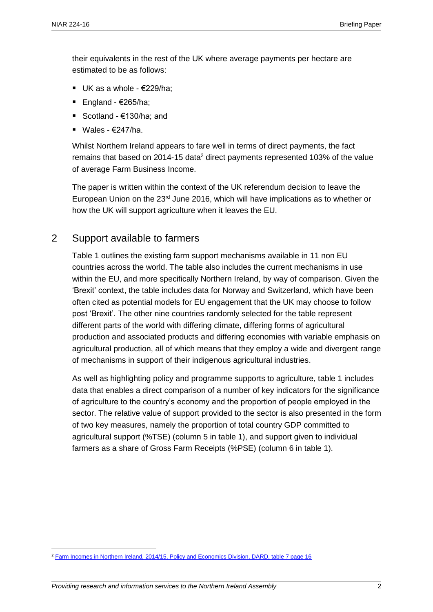their equivalents in the rest of the UK where average payments per hectare are estimated to be as follows:

- $\blacksquare$  UK as a whole  $\epsilon$ 229/ha:
- England  $€265/ha;$
- Scotland €130/ha: and
- Wales  $€247/ha$

Whilst Northern Ireland appears to fare well in terms of direct payments, the fact remains that based on 2014-15 data<sup>2</sup> direct payments represented 103% of the value of average Farm Business Income.

The paper is written within the context of the UK referendum decision to leave the European Union on the  $23<sup>rd</sup>$  June 2016, which will have implications as to whether or how the UK will support agriculture when it leaves the EU.

## 2 Support available to farmers

Table 1 outlines the existing farm support mechanisms available in 11 non EU countries across the world. The table also includes the current mechanisms in use within the EU, and more specifically Northern Ireland, by way of comparison. Given the 'Brexit' context, the table includes data for Norway and Switzerland, which have been often cited as potential models for EU engagement that the UK may choose to follow post 'Brexit'. The other nine countries randomly selected for the table represent different parts of the world with differing climate, differing forms of agricultural production and associated products and differing economies with variable emphasis on agricultural production, all of which means that they employ a wide and divergent range of mechanisms in support of their indigenous agricultural industries.

As well as highlighting policy and programme supports to agriculture, table 1 includes data that enables a direct comparison of a number of key indicators for the significance of agriculture to the country's economy and the proportion of people employed in the sector. The relative value of support provided to the sector is also presented in the form of two key measures, namely the proportion of total country GDP committed to agricultural support (%TSE) (column 5 in table 1), and support given to individual farmers as a share of Gross Farm Receipts (%PSE) (column 6 in table 1).

 $\overline{a}$ 

<sup>2</sup> [Farm Incomes in Northern Ireland, 2014/15, Policy and Economics Division, DARD, table 7 page 16](https://www.daera-ni.gov.uk/sites/default/files/publications/dard/farm-incomes-in-northern-ireland-2014-15-final.PDF)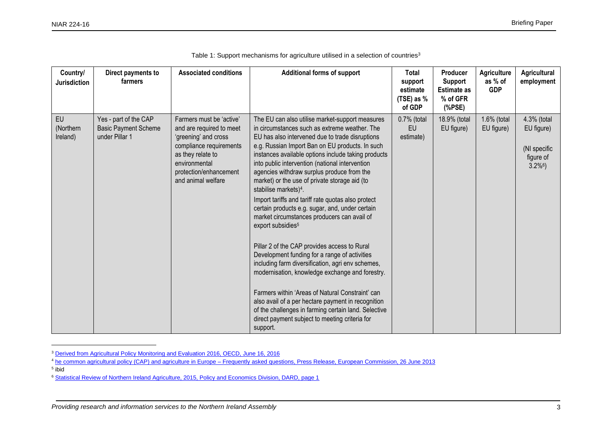| Country/<br><b>Jurisdiction</b>    | Direct payments to<br>farmers                                          | <b>Associated conditions</b>                                                                                                                                                                  | <b>Additional forms of support</b>                                                                                                                                                                                                                                                                                                                                                                                                                                                                                                                                                                                                                                                                                                                                                                                                                                                                                                                                                                                                                                                     | Total<br>support<br>estimate<br>(TSE) as %<br>of GDP | Producer<br><b>Support</b><br><b>Estimate as</b><br>% of GFR<br>(% | <b>Agriculture</b><br>as % of<br><b>GDP</b> | <b>Agricultural</b><br>employment                                                |
|------------------------------------|------------------------------------------------------------------------|-----------------------------------------------------------------------------------------------------------------------------------------------------------------------------------------------|----------------------------------------------------------------------------------------------------------------------------------------------------------------------------------------------------------------------------------------------------------------------------------------------------------------------------------------------------------------------------------------------------------------------------------------------------------------------------------------------------------------------------------------------------------------------------------------------------------------------------------------------------------------------------------------------------------------------------------------------------------------------------------------------------------------------------------------------------------------------------------------------------------------------------------------------------------------------------------------------------------------------------------------------------------------------------------------|------------------------------------------------------|--------------------------------------------------------------------|---------------------------------------------|----------------------------------------------------------------------------------|
| <b>EU</b><br>(Northern<br>Ireland) | Yes - part of the CAP<br><b>Basic Payment Scheme</b><br>under Pillar 1 | Farmers must be 'active'<br>and are required to meet<br>'greening' and cross<br>compliance requirements<br>as they relate to<br>environmental<br>protection/enhancement<br>and animal welfare | The EU can also utilise market-support measures<br>in circumstances such as extreme weather. The<br>EU has also intervened due to trade disruptions<br>e.g. Russian Import Ban on EU products. In such<br>instances available options include taking products<br>into public intervention (national intervention<br>agencies withdraw surplus produce from the<br>market) or the use of private storage aid (to<br>stabilise markets) <sup>4</sup> .<br>Import tariffs and tariff rate quotas also protect<br>certain products e.g. sugar, and, under certain<br>market circumstances producers can avail of<br>export subsidies <sup>5</sup><br>Pillar 2 of the CAP provides access to Rural<br>Development funding for a range of activities<br>including farm diversification, agri env schemes,<br>modernisation, knowledge exchange and forestry.<br>Farmers within 'Areas of Natural Constraint' can<br>also avail of a per hectare payment in recognition<br>of the challenges in farming certain land. Selective<br>direct payment subject to meeting criteria for<br>support. | 0.7% (total<br>EU<br>estimate)                       | 18.9% (total<br>EU figure)                                         | 1.6% (total<br>EU figure)                   | 4.3% (total<br>EU figure)<br>(NI specific<br>figure of<br>$3.2\%$ <sup>6</sup> ) |

|  | Table 1: Support mechanisms for agriculture utilised in a selection of countries <sup>3</sup> |  |  |
|--|-----------------------------------------------------------------------------------------------|--|--|
|  |                                                                                               |  |  |

5 ibid

 $\overline{a}$ 

<sup>&</sup>lt;sup>3</sup> [Derived from Agricultural Policy Monitoring and Evaluation 2016, OECD, June 16, 2016](http://www.oecd.org/tad/agricultural-policy-monitoring-and-evaluation-22217371.htm)

<sup>&</sup>lt;sup>4</sup> he common agricultural policy (CAP) and agriculture in Europe – [Frequently asked questions, Press Release, European Commission, 26 June 2013](http://europa.eu/rapid/press-release_MEMO-13-631_en.htm)

<sup>6</sup> [Statistical Review of Northern Ireland Agriculture, 2015, Policy and Economics Division, DARD, page 1](https://www.daera-ni.gov.uk/sites/default/files/publications/dard/stats-review-2015-final-amended.PDF)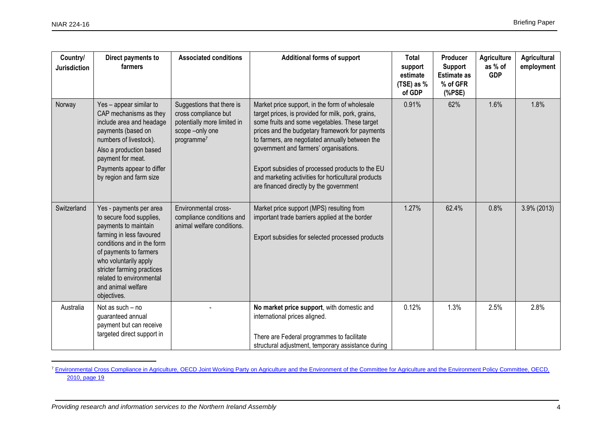$\overline{a}$ 

| Country/<br><b>Jurisdiction</b> | Direct payments to<br>farmers                                                                                                                                                                                                                                                           | <b>Associated conditions</b>                                                                                                  | <b>Additional forms of support</b>                                                                                                                                                                                                                                                                                                                                                                                                                          | Total<br>support<br>estimate<br>(TSE) as %<br>of GDP | Producer<br><b>Support</b><br><b>Estimate as</b><br>% of GFR<br>(% | <b>Agriculture</b><br>as % of<br><b>GDP</b> | <b>Agricultural</b><br>employment |
|---------------------------------|-----------------------------------------------------------------------------------------------------------------------------------------------------------------------------------------------------------------------------------------------------------------------------------------|-------------------------------------------------------------------------------------------------------------------------------|-------------------------------------------------------------------------------------------------------------------------------------------------------------------------------------------------------------------------------------------------------------------------------------------------------------------------------------------------------------------------------------------------------------------------------------------------------------|------------------------------------------------------|--------------------------------------------------------------------|---------------------------------------------|-----------------------------------|
| Norway                          | Yes - appear similar to<br>CAP mechanisms as they<br>include area and headage<br>payments (based on<br>numbers of livestock).<br>Also a production based<br>payment for meat.<br>Payments appear to differ<br>by region and farm size                                                   | Suggestions that there is<br>cross compliance but<br>potentially more limited in<br>scope -only one<br>programme <sup>7</sup> | Market price support, in the form of wholesale<br>target prices, is provided for milk, pork, grains,<br>some fruits and some vegetables. These target<br>prices and the budgetary framework for payments<br>to farmers, are negotiated annually between the<br>government and farmers' organisations.<br>Export subsidies of processed products to the EU<br>and marketing activities for horticultural products<br>are financed directly by the government | 0.91%                                                | 62%                                                                | 1.6%                                        | 1.8%                              |
| Switzerland                     | Yes - payments per area<br>to secure food supplies,<br>payments to maintain<br>farming in less favoured<br>conditions and in the form<br>of payments to farmers<br>who voluntarily apply<br>stricter farming practices<br>related to environmental<br>and animal welfare<br>objectives. | Environmental cross-<br>compliance conditions and<br>animal welfare conditions.                                               | Market price support (MPS) resulting from<br>important trade barriers applied at the border<br>Export subsidies for selected processed products                                                                                                                                                                                                                                                                                                             | 1.27%                                                | 62.4%                                                              | 0.8%                                        | 3.9% (2013)                       |
| Australia                       | Not as such - no<br>guaranteed annual<br>payment but can receive<br>targeted direct support in                                                                                                                                                                                          |                                                                                                                               | No market price support, with domestic and<br>international prices aligned.<br>There are Federal programmes to facilitate<br>structural adjustment, temporary assistance during                                                                                                                                                                                                                                                                             | 0.12%                                                | 1.3%                                                               | 2.5%                                        | 2.8%                              |

<sup>&</sup>lt;sup>7</sup> Environmental Cross Compliance in Agriculture, OECD Joint Working Party on Agriculture and the Environment of the Committee for Agriculture and the Environment Policy Committee, OECD, [2010, page 19](http://www.oecd.org/tad/sustainable-agriculture/44737935.pdf)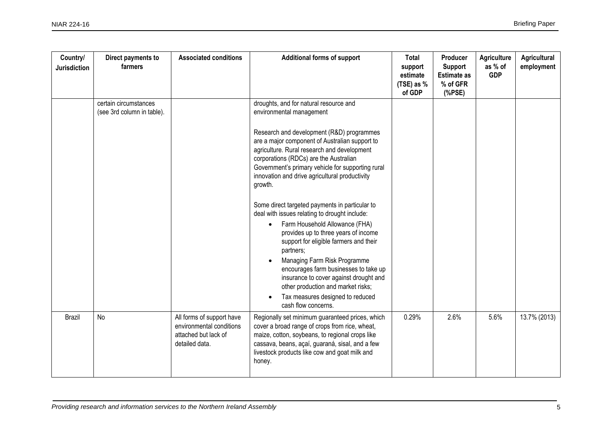| Country/<br><b>Jurisdiction</b> | Direct payments to<br>farmers                       | <b>Associated conditions</b>                                                                    | <b>Additional forms of support</b>                                                                                                                                                                                                                                                                                                                                                                                                                                | Total<br>support<br>estimate<br>(TSE) as %<br>of GDP | Producer<br>Support<br><b>Estimate as</b><br>% of GFR<br>(% | <b>Agriculture</b><br>as % of<br><b>GDP</b> | Agricultural<br>employment |
|---------------------------------|-----------------------------------------------------|-------------------------------------------------------------------------------------------------|-------------------------------------------------------------------------------------------------------------------------------------------------------------------------------------------------------------------------------------------------------------------------------------------------------------------------------------------------------------------------------------------------------------------------------------------------------------------|------------------------------------------------------|-------------------------------------------------------------|---------------------------------------------|----------------------------|
|                                 | certain circumstances<br>(see 3rd column in table). |                                                                                                 | droughts, and for natural resource and<br>environmental management                                                                                                                                                                                                                                                                                                                                                                                                |                                                      |                                                             |                                             |                            |
|                                 |                                                     |                                                                                                 | Research and development (R&D) programmes<br>are a major component of Australian support to<br>agriculture. Rural research and development<br>corporations (RDCs) are the Australian<br>Government's primary vehicle for supporting rural<br>innovation and drive agricultural productivity<br>growth.                                                                                                                                                            |                                                      |                                                             |                                             |                            |
|                                 |                                                     |                                                                                                 | Some direct targeted payments in particular to<br>deal with issues relating to drought include:<br>Farm Household Allowance (FHA)<br>$\bullet$<br>provides up to three years of income<br>support for eligible farmers and their<br>partners;<br>Managing Farm Risk Programme<br>encourages farm businesses to take up<br>insurance to cover against drought and<br>other production and market risks;<br>Tax measures designed to reduced<br>cash flow concerns. |                                                      |                                                             |                                             |                            |
| Brazil                          | No                                                  | All forms of support have<br>environmental conditions<br>attached but lack of<br>detailed data. | Regionally set minimum guaranteed prices, which<br>cover a broad range of crops from rice, wheat,<br>maize, cotton, soybeans, to regional crops like<br>cassava, beans, açaí, guaraná, sisal, and a few<br>livestock products like cow and goat milk and<br>honey.                                                                                                                                                                                                | 0.29%                                                | 2.6%                                                        | 5.6%                                        | 13.7% (2013)               |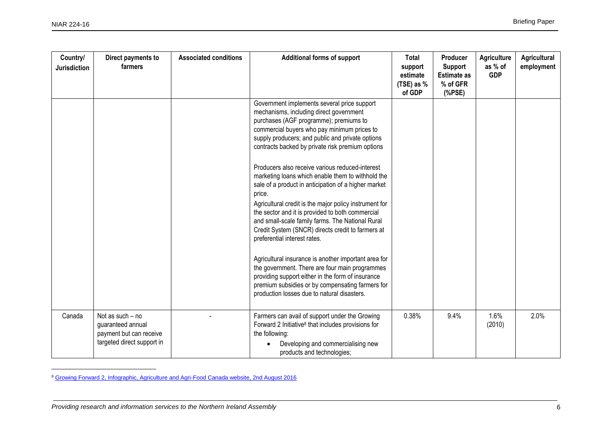$\overline{a}$ 

| Country/<br><b>Jurisdiction</b> | Direct payments to<br>farmers                                                                  | <b>Associated conditions</b> | <b>Additional forms of support</b>                                                                                                                                                                                                                                                                                                                                                                                            | <b>Total</b><br>support<br>estimate<br>(TSE) as %<br>of GDP | Producer<br><b>Support</b><br><b>Estimate as</b><br>% of GFR<br>(% | <b>Agriculture</b><br>as % of<br><b>GDP</b> | Agricultural<br>employment |
|---------------------------------|------------------------------------------------------------------------------------------------|------------------------------|-------------------------------------------------------------------------------------------------------------------------------------------------------------------------------------------------------------------------------------------------------------------------------------------------------------------------------------------------------------------------------------------------------------------------------|-------------------------------------------------------------|--------------------------------------------------------------------|---------------------------------------------|----------------------------|
|                                 |                                                                                                |                              | Government implements several price support<br>mechanisms, including direct government<br>purchases (AGF programme); premiums to<br>commercial buyers who pay minimum prices to<br>supply producers; and public and private options<br>contracts backed by private risk premium options                                                                                                                                       |                                                             |                                                                    |                                             |                            |
|                                 |                                                                                                |                              | Producers also receive various reduced-interest<br>marketing loans which enable them to withhold the<br>sale of a product in anticipation of a higher market<br>price.<br>Agricultural credit is the major policy instrument for<br>the sector and it is provided to both commercial<br>and small-scale family farms. The National Rural<br>Credit System (SNCR) directs credit to farmers at<br>preferential interest rates. |                                                             |                                                                    |                                             |                            |
|                                 |                                                                                                |                              | Agricultural insurance is another important area for<br>the government. There are four main programmes<br>providing support either in the form of insurance<br>premium subsidies or by compensating farmers for<br>production losses due to natural disasters.                                                                                                                                                                |                                                             |                                                                    |                                             |                            |
| Canada                          | Not as such - no<br>guaranteed annual<br>payment but can receive<br>targeted direct support in |                              | Farmers can avail of support under the Growing<br>Forward 2 Initiative <sup>8</sup> that includes provisions for<br>the following:<br>Developing and commercialising new<br>products and technologies;                                                                                                                                                                                                                        | 0.38%                                                       | 9.4%                                                               | 1.6%<br>(2010)                              | 2.0%                       |

<sup>8</sup> [Growing Forward 2, Infographic, Agriculture and Agri-Food Canada website, 2nd August 2016](http://www.agr.gc.ca/eng/about-us/key-departmental-initiatives/growing-forward-2/infographic-growing-forward-2/?id=1437743857549)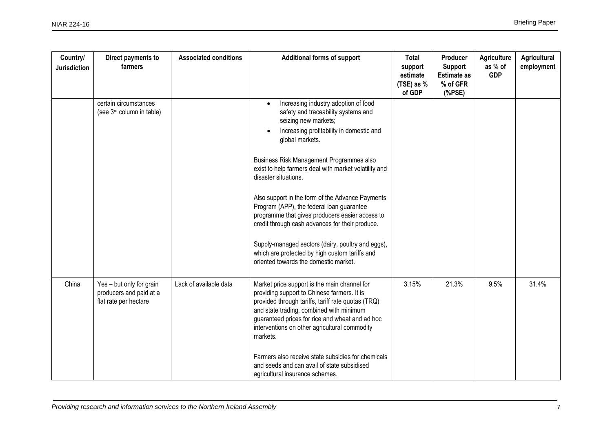| Country/<br><b>Jurisdiction</b> | Direct payments to<br>farmers                                                | <b>Associated conditions</b> | <b>Additional forms of support</b>                                                                                                                                                                                                                                                                                                                                                                                                                                                                                                                                                                                                                     | Total<br>support<br>estimate<br>(TSE) as %<br>of GDP | Producer<br><b>Support</b><br><b>Estimate as</b><br>% of GFR<br>(% | <b>Agriculture</b><br>as % of<br><b>GDP</b> | Agricultural<br>employment |
|---------------------------------|------------------------------------------------------------------------------|------------------------------|--------------------------------------------------------------------------------------------------------------------------------------------------------------------------------------------------------------------------------------------------------------------------------------------------------------------------------------------------------------------------------------------------------------------------------------------------------------------------------------------------------------------------------------------------------------------------------------------------------------------------------------------------------|------------------------------------------------------|--------------------------------------------------------------------|---------------------------------------------|----------------------------|
|                                 | certain circumstances<br>(see 3rd column in table)                           |                              | Increasing industry adoption of food<br>safety and traceability systems and<br>seizing new markets;<br>Increasing profitability in domestic and<br>global markets.<br>Business Risk Management Programmes also<br>exist to help farmers deal with market volatility and<br>disaster situations.<br>Also support in the form of the Advance Payments<br>Program (APP), the federal loan guarantee<br>programme that gives producers easier access to<br>credit through cash advances for their produce.<br>Supply-managed sectors (dairy, poultry and eggs),<br>which are protected by high custom tariffs and<br>oriented towards the domestic market. |                                                      |                                                                    |                                             |                            |
| China                           | Yes - but only for grain<br>producers and paid at a<br>flat rate per hectare | Lack of available data       | Market price support is the main channel for<br>providing support to Chinese farmers. It is<br>provided through tariffs, tariff rate quotas (TRQ)<br>and state trading, combined with minimum<br>guaranteed prices for rice and wheat and ad hoc<br>interventions on other agricultural commodity<br>markets.<br>Farmers also receive state subsidies for chemicals<br>and seeds and can avail of state subsidised<br>agricultural insurance schemes.                                                                                                                                                                                                  | 3.15%                                                | 21.3%                                                              | 9.5%                                        | 31.4%                      |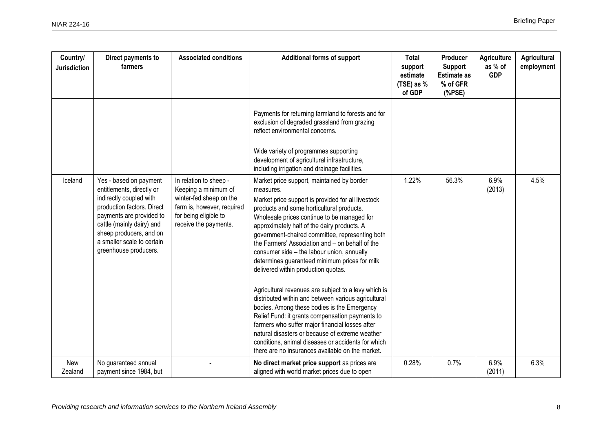| Country/<br><b>Jurisdiction</b> | Direct payments to<br>farmers                                                                                                                                                                                                                           | <b>Associated conditions</b>                                                                                                                              | <b>Additional forms of support</b>                                                                                                                                                                                                                                                                                                                                                                                                                                                                                                                                                                                                                                                                                                                                                                                                                                                                                                    | Total<br>support<br>estimate<br>(TSE) as %<br>of GDP | Producer<br><b>Support</b><br><b>Estimate as</b><br>% of GFR<br>(% | <b>Agriculture</b><br>as % of<br><b>GDP</b> | Agricultural<br>employment |
|---------------------------------|---------------------------------------------------------------------------------------------------------------------------------------------------------------------------------------------------------------------------------------------------------|-----------------------------------------------------------------------------------------------------------------------------------------------------------|---------------------------------------------------------------------------------------------------------------------------------------------------------------------------------------------------------------------------------------------------------------------------------------------------------------------------------------------------------------------------------------------------------------------------------------------------------------------------------------------------------------------------------------------------------------------------------------------------------------------------------------------------------------------------------------------------------------------------------------------------------------------------------------------------------------------------------------------------------------------------------------------------------------------------------------|------------------------------------------------------|--------------------------------------------------------------------|---------------------------------------------|----------------------------|
|                                 |                                                                                                                                                                                                                                                         |                                                                                                                                                           | Payments for returning farmland to forests and for<br>exclusion of degraded grassland from grazing<br>reflect environmental concerns.<br>Wide variety of programmes supporting<br>development of agricultural infrastructure,<br>including irrigation and drainage facilities.                                                                                                                                                                                                                                                                                                                                                                                                                                                                                                                                                                                                                                                        |                                                      |                                                                    |                                             |                            |
| Iceland                         | Yes - based on payment<br>entitlements, directly or<br>indirectly coupled with<br>production factors. Direct<br>payments are provided to<br>cattle (mainly dairy) and<br>sheep producers, and on<br>a smaller scale to certain<br>greenhouse producers. | In relation to sheep -<br>Keeping a minimum of<br>winter-fed sheep on the<br>farm is, however, required<br>for being eligible to<br>receive the payments. | Market price support, maintained by border<br>measures.<br>Market price support is provided for all livestock<br>products and some horticultural products.<br>Wholesale prices continue to be managed for<br>approximately half of the dairy products. A<br>government-chaired committee, representing both<br>the Farmers' Association and - on behalf of the<br>consumer side - the labour union, annually<br>determines guaranteed minimum prices for milk<br>delivered within production quotas.<br>Agricultural revenues are subject to a levy which is<br>distributed within and between various agricultural<br>bodies. Among these bodies is the Emergency<br>Relief Fund: it grants compensation payments to<br>farmers who suffer major financial losses after<br>natural disasters or because of extreme weather<br>conditions, animal diseases or accidents for which<br>there are no insurances available on the market. | 1.22%                                                | 56.3%                                                              | 6.9%<br>(2013)                              | 4.5%                       |
| New<br>Zealand                  | No guaranteed annual<br>payment since 1984, but                                                                                                                                                                                                         |                                                                                                                                                           | No direct market price support as prices are<br>aligned with world market prices due to open                                                                                                                                                                                                                                                                                                                                                                                                                                                                                                                                                                                                                                                                                                                                                                                                                                          | 0.28%                                                | 0.7%                                                               | 6.9%<br>(2011)                              | 6.3%                       |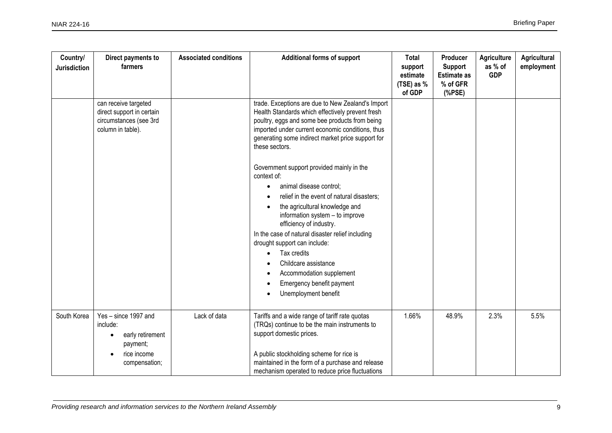| Country/<br><b>Jurisdiction</b> | Direct payments to<br>farmers                                                                    | <b>Associated conditions</b> | <b>Additional forms of support</b>                                                                                                                                                                                                                                                                                                                                                                                                                                                                                                                                                                                                                                                                                                              | Total<br>support<br>estimate<br>(TSE) as %<br>of GDP | Producer<br>Support<br><b>Estimate as</b><br>% of GFR<br>(% | Agriculture<br>as % of<br><b>GDP</b> | Agricultural<br>employment |
|---------------------------------|--------------------------------------------------------------------------------------------------|------------------------------|-------------------------------------------------------------------------------------------------------------------------------------------------------------------------------------------------------------------------------------------------------------------------------------------------------------------------------------------------------------------------------------------------------------------------------------------------------------------------------------------------------------------------------------------------------------------------------------------------------------------------------------------------------------------------------------------------------------------------------------------------|------------------------------------------------------|-------------------------------------------------------------|--------------------------------------|----------------------------|
|                                 | can receive targeted<br>direct support in certain<br>circumstances (see 3rd<br>column in table). |                              | trade. Exceptions are due to New Zealand's Import<br>Health Standards which effectively prevent fresh<br>poultry, eggs and some bee products from being<br>imported under current economic conditions, thus<br>generating some indirect market price support for<br>these sectors.<br>Government support provided mainly in the<br>context of:<br>animal disease control;<br>relief in the event of natural disasters;<br>the agricultural knowledge and<br>information system - to improve<br>efficiency of industry.<br>In the case of natural disaster relief including<br>drought support can include:<br>Tax credits<br>$\bullet$<br>Childcare assistance<br>Accommodation supplement<br>Emergency benefit payment<br>Unemployment benefit |                                                      |                                                             |                                      |                            |
| South Korea                     | Yes - since 1997 and<br>include:<br>early retirement<br>payment;<br>rice income<br>compensation; | Lack of data                 | Tariffs and a wide range of tariff rate quotas<br>(TRQs) continue to be the main instruments to<br>support domestic prices.<br>A public stockholding scheme for rice is<br>maintained in the form of a purchase and release                                                                                                                                                                                                                                                                                                                                                                                                                                                                                                                     | 1.66%                                                | 48.9%                                                       | 2.3%                                 | 5.5%                       |
|                                 |                                                                                                  |                              | mechanism operated to reduce price fluctuations                                                                                                                                                                                                                                                                                                                                                                                                                                                                                                                                                                                                                                                                                                 |                                                      |                                                             |                                      |                            |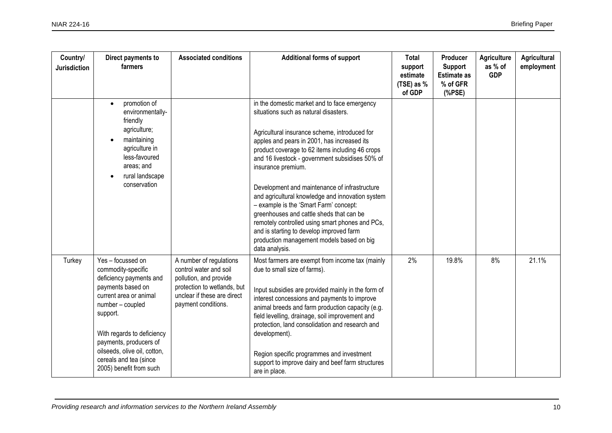| Country/<br><b>Jurisdiction</b> | Direct payments to<br>farmers                                                                                                                                                                                                                                                                  | <b>Associated conditions</b>                                                                                                                                     | <b>Additional forms of support</b>                                                                                                                                                                                                                                                                                                                                                                                                                                                                                                                                                                                                                                         | Total<br>support<br>estimate<br>(TSE) as %<br>of GDP | Producer<br><b>Support</b><br><b>Estimate as</b><br>% of GFR<br>$(%$ (%PSE) | <b>Agriculture</b><br>as % of<br><b>GDP</b> | Agricultural<br>employment |
|---------------------------------|------------------------------------------------------------------------------------------------------------------------------------------------------------------------------------------------------------------------------------------------------------------------------------------------|------------------------------------------------------------------------------------------------------------------------------------------------------------------|----------------------------------------------------------------------------------------------------------------------------------------------------------------------------------------------------------------------------------------------------------------------------------------------------------------------------------------------------------------------------------------------------------------------------------------------------------------------------------------------------------------------------------------------------------------------------------------------------------------------------------------------------------------------------|------------------------------------------------------|-----------------------------------------------------------------------------|---------------------------------------------|----------------------------|
|                                 | promotion of<br>environmentally-<br>friendly<br>agriculture;<br>maintaining<br>agriculture in<br>less-favoured<br>areas; and<br>rural landscape<br>conservation                                                                                                                                |                                                                                                                                                                  | in the domestic market and to face emergency<br>situations such as natural disasters.<br>Agricultural insurance scheme, introduced for<br>apples and pears in 2001, has increased its<br>product coverage to 62 items including 46 crops<br>and 16 livestock - government subsidises 50% of<br>insurance premium.<br>Development and maintenance of infrastructure<br>and agricultural knowledge and innovation system<br>- example is the 'Smart Farm' concept:<br>greenhouses and cattle sheds that can be<br>remotely controlled using smart phones and PCs,<br>and is starting to develop improved farm<br>production management models based on big<br>data analysis. |                                                      |                                                                             |                                             |                            |
| Turkey                          | Yes - focussed on<br>commodity-specific<br>deficiency payments and<br>payments based on<br>current area or animal<br>number - coupled<br>support.<br>With regards to deficiency<br>payments, producers of<br>oilseeds, olive oil, cotton,<br>cereals and tea (since<br>2005) benefit from such | A number of regulations<br>control water and soil<br>pollution, and provide<br>protection to wetlands, but<br>unclear if these are direct<br>payment conditions. | Most farmers are exempt from income tax (mainly<br>due to small size of farms).<br>Input subsidies are provided mainly in the form of<br>interest concessions and payments to improve<br>animal breeds and farm production capacity (e.g.<br>field levelling, drainage, soil improvement and<br>protection, land consolidation and research and<br>development).<br>Region specific programmes and investment<br>support to improve dairy and beef farm structures<br>are in place.                                                                                                                                                                                        | 2%                                                   | 19.8%                                                                       | 8%                                          | 21.1%                      |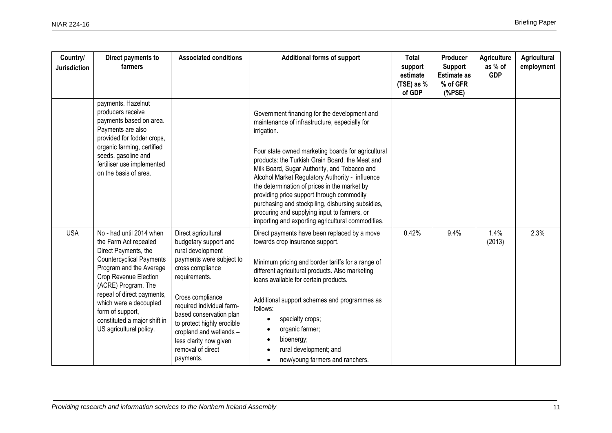| Country/<br><b>Jurisdiction</b> | Direct payments to<br>farmers                                                                                                                                                                                                                                                                                                  | <b>Associated conditions</b>                                                                                                                                                                                                                                                                                                        | <b>Additional forms of support</b>                                                                                                                                                                                                                                                                                                                                                                                                                                                                                                                                              | Total<br>support<br>estimate<br>(TSE) as %<br>of GDP | Producer<br><b>Support</b><br><b>Estimate as</b><br>% of GFR<br>(% | Agriculture<br>as % of<br><b>GDP</b> | Agricultural<br>employment |
|---------------------------------|--------------------------------------------------------------------------------------------------------------------------------------------------------------------------------------------------------------------------------------------------------------------------------------------------------------------------------|-------------------------------------------------------------------------------------------------------------------------------------------------------------------------------------------------------------------------------------------------------------------------------------------------------------------------------------|---------------------------------------------------------------------------------------------------------------------------------------------------------------------------------------------------------------------------------------------------------------------------------------------------------------------------------------------------------------------------------------------------------------------------------------------------------------------------------------------------------------------------------------------------------------------------------|------------------------------------------------------|--------------------------------------------------------------------|--------------------------------------|----------------------------|
|                                 | payments. Hazelnut<br>producers receive<br>payments based on area.<br>Payments are also<br>provided for fodder crops,<br>organic farming, certified<br>seeds, gasoline and<br>fertiliser use implemented<br>on the basis of area.                                                                                              |                                                                                                                                                                                                                                                                                                                                     | Government financing for the development and<br>maintenance of infrastructure, especially for<br>irrigation.<br>Four state owned marketing boards for agricultural<br>products: the Turkish Grain Board, the Meat and<br>Milk Board, Sugar Authority, and Tobacco and<br>Alcohol Market Regulatory Authority - influence<br>the determination of prices in the market by<br>providing price support through commodity<br>purchasing and stockpiling, disbursing subsidies,<br>procuring and supplying input to farmers, or<br>importing and exporting agricultural commodities. |                                                      |                                                                    |                                      |                            |
| <b>USA</b>                      | No - had until 2014 when<br>the Farm Act repealed<br>Direct Payments, the<br><b>Countercyclical Payments</b><br>Program and the Average<br>Crop Revenue Election<br>(ACRE) Program. The<br>repeal of direct payments,<br>which were a decoupled<br>form of support,<br>constituted a major shift in<br>US agricultural policy. | Direct agricultural<br>budgetary support and<br>rural development<br>payments were subject to<br>cross compliance<br>requirements.<br>Cross compliance<br>required individual farm-<br>based conservation plan<br>to protect highly erodible<br>cropland and wetlands -<br>less clarity now given<br>removal of direct<br>payments. | Direct payments have been replaced by a move<br>towards crop insurance support.<br>Minimum pricing and border tariffs for a range of<br>different agricultural products. Also marketing<br>loans available for certain products.<br>Additional support schemes and programmes as<br>follows:<br>specialty crops;<br>organic farmer;<br>bioenergy;<br>rural development; and<br>new/young farmers and ranchers.                                                                                                                                                                  | 0.42%                                                | 9.4%                                                               | 1.4%<br>(2013)                       | 2.3%                       |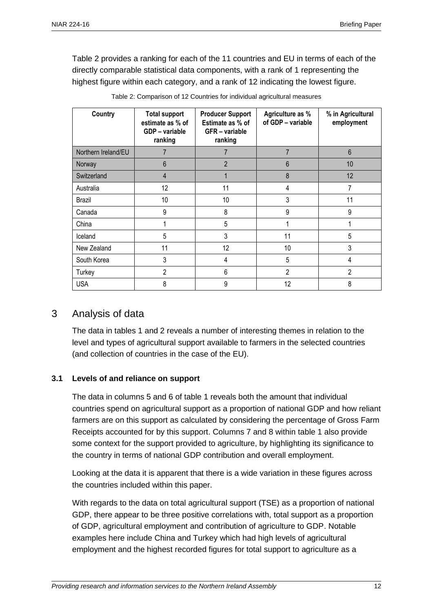Table 2 provides a ranking for each of the 11 countries and EU in terms of each of the directly comparable statistical data components, with a rank of 1 representing the highest figure within each category, and a rank of 12 indicating the lowest figure.

| Country             | <b>Total support</b><br>estimate as % of<br>GDP - variable<br>ranking | <b>Producer Support</b><br>Estimate as % of<br>GFR - variable<br>ranking | Agriculture as %<br>of GDP - variable | % in Agricultural<br>employment |
|---------------------|-----------------------------------------------------------------------|--------------------------------------------------------------------------|---------------------------------------|---------------------------------|
| Northern Ireland/EU | 7                                                                     | 7                                                                        | $\overline{7}$                        | $6\phantom{1}$                  |
| Norway              | 6                                                                     | $\overline{2}$                                                           | 6                                     | 10                              |
| Switzerland         | 4                                                                     |                                                                          | 8                                     | 12                              |
| Australia           | 12                                                                    | 11                                                                       | 4                                     | 7                               |
| Brazil              | 10                                                                    | 10                                                                       | 3                                     | 11                              |
| Canada              | 9                                                                     | 8                                                                        | 9                                     | 9                               |
| China               |                                                                       | 5                                                                        |                                       |                                 |
| Iceland             | 5                                                                     | 3                                                                        | 11                                    | 5                               |
| New Zealand         | 11                                                                    | 12                                                                       | 10                                    | 3                               |
| South Korea         | 3                                                                     | 4                                                                        | 5                                     | 4                               |
| Turkey              | 2                                                                     | 6                                                                        | $\overline{2}$                        | $\overline{2}$                  |
| <b>USA</b>          | 8                                                                     | 9                                                                        | 12                                    | 8                               |

| Table 2: Comparison of 12 Countries for individual agricultural measures |  |  |
|--------------------------------------------------------------------------|--|--|
|                                                                          |  |  |

### 3 Analysis of data

The data in tables 1 and 2 reveals a number of interesting themes in relation to the level and types of agricultural support available to farmers in the selected countries (and collection of countries in the case of the EU).

#### **3.1 Levels of and reliance on support**

The data in columns 5 and 6 of table 1 reveals both the amount that individual countries spend on agricultural support as a proportion of national GDP and how reliant farmers are on this support as calculated by considering the percentage of Gross Farm Receipts accounted for by this support. Columns 7 and 8 within table 1 also provide some context for the support provided to agriculture, by highlighting its significance to the country in terms of national GDP contribution and overall employment.

Looking at the data it is apparent that there is a wide variation in these figures across the countries included within this paper.

With regards to the data on total agricultural support (TSE) as a proportion of national GDP, there appear to be three positive correlations with, total support as a proportion of GDP, agricultural employment and contribution of agriculture to GDP. Notable examples here include China and Turkey which had high levels of agricultural employment and the highest recorded figures for total support to agriculture as a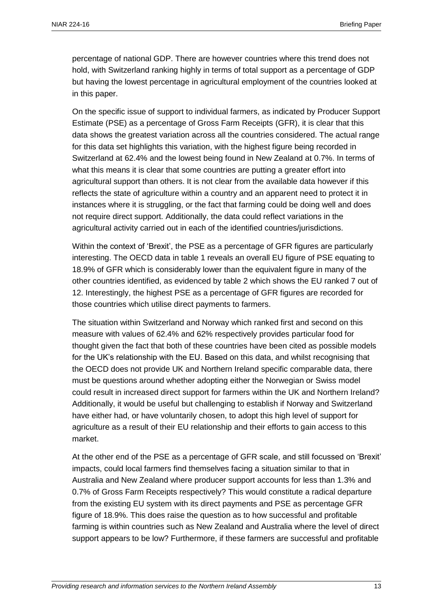percentage of national GDP. There are however countries where this trend does not hold, with Switzerland ranking highly in terms of total support as a percentage of GDP but having the lowest percentage in agricultural employment of the countries looked at in this paper.

On the specific issue of support to individual farmers, as indicated by Producer Support Estimate (PSE) as a percentage of Gross Farm Receipts (GFR), it is clear that this data shows the greatest variation across all the countries considered. The actual range for this data set highlights this variation, with the highest figure being recorded in Switzerland at 62.4% and the lowest being found in New Zealand at 0.7%. In terms of what this means it is clear that some countries are putting a greater effort into agricultural support than others. It is not clear from the available data however if this reflects the state of agriculture within a country and an apparent need to protect it in instances where it is struggling, or the fact that farming could be doing well and does not require direct support. Additionally, the data could reflect variations in the agricultural activity carried out in each of the identified countries/jurisdictions.

Within the context of 'Brexit', the PSE as a percentage of GFR figures are particularly interesting. The OECD data in table 1 reveals an overall EU figure of PSE equating to 18.9% of GFR which is considerably lower than the equivalent figure in many of the other countries identified, as evidenced by table 2 which shows the EU ranked 7 out of 12. Interestingly, the highest PSE as a percentage of GFR figures are recorded for those countries which utilise direct payments to farmers.

The situation within Switzerland and Norway which ranked first and second on this measure with values of 62.4% and 62% respectively provides particular food for thought given the fact that both of these countries have been cited as possible models for the UK's relationship with the EU. Based on this data, and whilst recognising that the OECD does not provide UK and Northern Ireland specific comparable data, there must be questions around whether adopting either the Norwegian or Swiss model could result in increased direct support for farmers within the UK and Northern Ireland? Additionally, it would be useful but challenging to establish if Norway and Switzerland have either had, or have voluntarily chosen, to adopt this high level of support for agriculture as a result of their EU relationship and their efforts to gain access to this market.

At the other end of the PSE as a percentage of GFR scale, and still focussed on 'Brexit' impacts, could local farmers find themselves facing a situation similar to that in Australia and New Zealand where producer support accounts for less than 1.3% and 0.7% of Gross Farm Receipts respectively? This would constitute a radical departure from the existing EU system with its direct payments and PSE as percentage GFR figure of 18.9%. This does raise the question as to how successful and profitable farming is within countries such as New Zealand and Australia where the level of direct support appears to be low? Furthermore, if these farmers are successful and profitable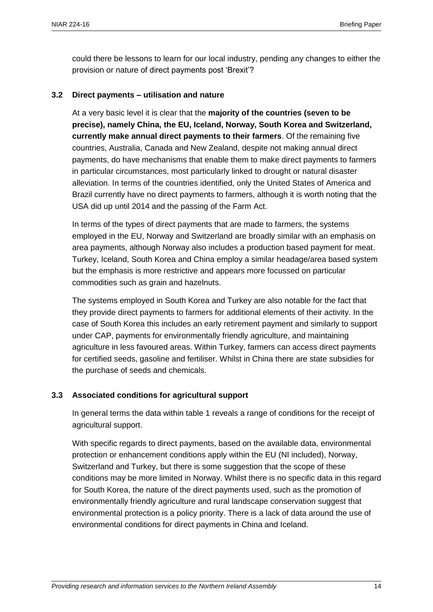could there be lessons to learn for our local industry, pending any changes to either the provision or nature of direct payments post 'Brexit'?

#### **3.2 Direct payments – utilisation and nature**

At a very basic level it is clear that the **majority of the countries (seven to be precise), namely China, the EU, Iceland, Norway, South Korea and Switzerland, currently make annual direct payments to their farmers**. Of the remaining five countries, Australia, Canada and New Zealand, despite not making annual direct payments, do have mechanisms that enable them to make direct payments to farmers in particular circumstances, most particularly linked to drought or natural disaster alleviation. In terms of the countries identified, only the United States of America and Brazil currently have no direct payments to farmers, although it is worth noting that the USA did up until 2014 and the passing of the Farm Act.

In terms of the types of direct payments that are made to farmers, the systems employed in the EU, Norway and Switzerland are broadly similar with an emphasis on area payments, although Norway also includes a production based payment for meat. Turkey, Iceland, South Korea and China employ a similar headage/area based system but the emphasis is more restrictive and appears more focussed on particular commodities such as grain and hazelnuts.

The systems employed in South Korea and Turkey are also notable for the fact that they provide direct payments to farmers for additional elements of their activity. In the case of South Korea this includes an early retirement payment and similarly to support under CAP, payments for environmentally friendly agriculture, and maintaining agriculture in less favoured areas. Within Turkey, farmers can access direct payments for certified seeds, gasoline and fertiliser. Whilst in China there are state subsidies for the purchase of seeds and chemicals.

#### **3.3 Associated conditions for agricultural support**

In general terms the data within table 1 reveals a range of conditions for the receipt of agricultural support.

With specific regards to direct payments, based on the available data, environmental protection or enhancement conditions apply within the EU (NI included), Norway, Switzerland and Turkey, but there is some suggestion that the scope of these conditions may be more limited in Norway. Whilst there is no specific data in this regard for South Korea, the nature of the direct payments used, such as the promotion of environmentally friendly agriculture and rural landscape conservation suggest that environmental protection is a policy priority. There is a lack of data around the use of environmental conditions for direct payments in China and Iceland.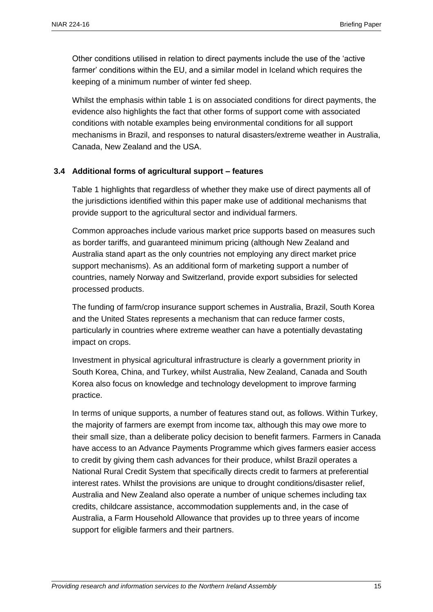Other conditions utilised in relation to direct payments include the use of the 'active farmer' conditions within the EU, and a similar model in Iceland which requires the keeping of a minimum number of winter fed sheep.

Whilst the emphasis within table 1 is on associated conditions for direct payments, the evidence also highlights the fact that other forms of support come with associated conditions with notable examples being environmental conditions for all support mechanisms in Brazil, and responses to natural disasters/extreme weather in Australia, Canada, New Zealand and the USA.

#### **3.4 Additional forms of agricultural support – features**

Table 1 highlights that regardless of whether they make use of direct payments all of the jurisdictions identified within this paper make use of additional mechanisms that provide support to the agricultural sector and individual farmers.

Common approaches include various market price supports based on measures such as border tariffs, and guaranteed minimum pricing (although New Zealand and Australia stand apart as the only countries not employing any direct market price support mechanisms). As an additional form of marketing support a number of countries, namely Norway and Switzerland, provide export subsidies for selected processed products.

The funding of farm/crop insurance support schemes in Australia, Brazil, South Korea and the United States represents a mechanism that can reduce farmer costs, particularly in countries where extreme weather can have a potentially devastating impact on crops.

Investment in physical agricultural infrastructure is clearly a government priority in South Korea, China, and Turkey, whilst Australia, New Zealand, Canada and South Korea also focus on knowledge and technology development to improve farming practice.

In terms of unique supports, a number of features stand out, as follows. Within Turkey, the majority of farmers are exempt from income tax, although this may owe more to their small size, than a deliberate policy decision to benefit farmers. Farmers in Canada have access to an Advance Payments Programme which gives farmers easier access to credit by giving them cash advances for their produce, whilst Brazil operates a National Rural Credit System that specifically directs credit to farmers at preferential interest rates. Whilst the provisions are unique to drought conditions/disaster relief, Australia and New Zealand also operate a number of unique schemes including tax credits, childcare assistance, accommodation supplements and, in the case of Australia, a Farm Household Allowance that provides up to three years of income support for eligible farmers and their partners.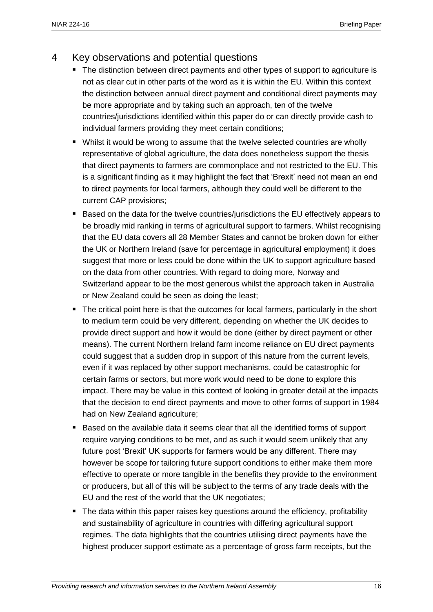# 4 Key observations and potential questions

- The distinction between direct payments and other types of support to agriculture is not as clear cut in other parts of the word as it is within the EU. Within this context the distinction between annual direct payment and conditional direct payments may be more appropriate and by taking such an approach, ten of the twelve countries/jurisdictions identified within this paper do or can directly provide cash to individual farmers providing they meet certain conditions;
- Whilst it would be wrong to assume that the twelve selected countries are wholly representative of global agriculture, the data does nonetheless support the thesis that direct payments to farmers are commonplace and not restricted to the EU. This is a significant finding as it may highlight the fact that 'Brexit' need not mean an end to direct payments for local farmers, although they could well be different to the current CAP provisions;
- Based on the data for the twelve countries/jurisdictions the EU effectively appears to be broadly mid ranking in terms of agricultural support to farmers. Whilst recognising that the EU data covers all 28 Member States and cannot be broken down for either the UK or Northern Ireland (save for percentage in agricultural employment) it does suggest that more or less could be done within the UK to support agriculture based on the data from other countries. With regard to doing more, Norway and Switzerland appear to be the most generous whilst the approach taken in Australia or New Zealand could be seen as doing the least;
- The critical point here is that the outcomes for local farmers, particularly in the short to medium term could be very different, depending on whether the UK decides to provide direct support and how it would be done (either by direct payment or other means). The current Northern Ireland farm income reliance on EU direct payments could suggest that a sudden drop in support of this nature from the current levels, even if it was replaced by other support mechanisms, could be catastrophic for certain farms or sectors, but more work would need to be done to explore this impact. There may be value in this context of looking in greater detail at the impacts that the decision to end direct payments and move to other forms of support in 1984 had on New Zealand agriculture;
- **Based on the available data it seems clear that all the identified forms of support** require varying conditions to be met, and as such it would seem unlikely that any future post 'Brexit' UK supports for farmers would be any different. There may however be scope for tailoring future support conditions to either make them more effective to operate or more tangible in the benefits they provide to the environment or producers, but all of this will be subject to the terms of any trade deals with the EU and the rest of the world that the UK negotiates;
- The data within this paper raises key questions around the efficiency, profitability and sustainability of agriculture in countries with differing agricultural support regimes. The data highlights that the countries utilising direct payments have the highest producer support estimate as a percentage of gross farm receipts, but the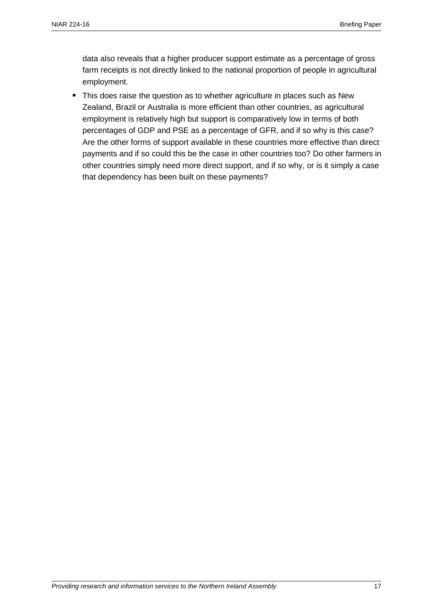data also reveals that a higher producer support estimate as a percentage of gross farm receipts is not directly linked to the national proportion of people in agricultural employment.

• This does raise the question as to whether agriculture in places such as New Zealand, Brazil or Australia is more efficient than other countries, as agricultural employment is relatively high but support is comparatively low in terms of both percentages of GDP and PSE as a percentage of GFR, and if so why is this case? Are the other forms of support available in these countries more effective than direct payments and if so could this be the case in other countries too? Do other farmers in other countries simply need more direct support, and if so why, or is it simply a case that dependency has been built on these payments?